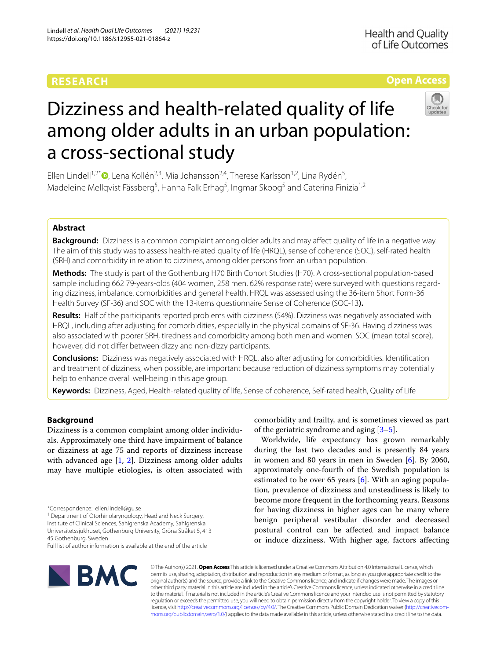# **RESEARCH**

**Open Access**

# Dizziness and health-related quality of life among older adults in an urban population: a cross-sectional study

Ellen Lindell<sup>1,2[\\*](http://orcid.org/0000-0002-2168-3088)</sup><sup>(D</sup>, Lena Kollén<sup>2,3</sup>, Mia Johansson<sup>2,4</sup>, Therese Karlsson<sup>1,2</sup>, Lina Rydén<sup>5</sup>, Madeleine Mellqvist Fässberg<sup>5</sup>, Hanna Falk Erhag<sup>5</sup>, Ingmar Skoog<sup>5</sup> and Caterina Finizia<sup>1,2</sup>

## **Abstract**

**Background:** Dizziness is a common complaint among older adults and may afect quality of life in a negative way. The aim of this study was to assess health-related quality of life (HRQL), sense of coherence (SOC), self-rated health (SRH) and comorbidity in relation to dizziness, among older persons from an urban population.

**Methods:** The study is part of the Gothenburg H70 Birth Cohort Studies (H70). A cross-sectional population-based sample including 662 79-years-olds (404 women, 258 men, 62% response rate) were surveyed with questions regarding dizziness, imbalance, comorbidities and general health. HRQL was assessed using the 36-item Short Form-36 Health Survey (SF-36) and SOC with the 13-items questionnaire Sense of Coherence (SOC-13**).**

**Results:** Half of the participants reported problems with dizziness (54%). Dizziness was negatively associated with HRQL, including after adjusting for comorbidities, especially in the physical domains of SF-36. Having dizziness was also associated with poorer SRH, tiredness and comorbidity among both men and women. SOC (mean total score), however, did not difer between dizzy and non-dizzy participants.

**Conclusions:** Dizziness was negatively associated with HRQL, also after adjusting for comorbidities. Identifcation and treatment of dizziness, when possible, are important because reduction of dizziness symptoms may potentially help to enhance overall well-being in this age group.

**Keywords:** Dizziness, Aged, Health-related quality of life, Sense of coherence, Self-rated health, Quality of Life

### **Background**

Dizziness is a common complaint among older individuals. Approximately one third have impairment of balance or dizziness at age 75 and reports of dizziness increase with advanced age [\[1](#page-8-0), [2](#page-8-1)]. Dizziness among older adults may have multiple etiologies, is often associated with

<sup>1</sup> Department of Otorhinolaryngology, Head and Neck Surgery,

Institute of Clinical Sciences, Sahlgrenska Academy, Sahlgrenska Universitetssjukhuset, Gothenburg University, Gröna Stråket 5, 413 45 Gothenburg, Sweden

**BMC** 

comorbidity and frailty, and is sometimes viewed as part of the geriatric syndrome and aging  $[3-5]$  $[3-5]$ .

Worldwide, life expectancy has grown remarkably during the last two decades and is presently 84 years in women and 80 years in men in Sweden  $[6]$  $[6]$ . By 2060, approximately one-fourth of the Swedish population is estimated to be over 65 years  $[6]$  $[6]$ . With an aging population, prevalence of dizziness and unsteadiness is likely to become more frequent in the forthcoming years. Reasons for having dizziness in higher ages can be many where benign peripheral vestibular disorder and decreased postural control can be afected and impact balance or induce dizziness. With higher age, factors afecting

© The Author(s) 2021. **Open Access** This article is licensed under a Creative Commons Attribution 4.0 International License, which permits use, sharing, adaptation, distribution and reproduction in any medium or format, as long as you give appropriate credit to the original author(s) and the source, provide a link to the Creative Commons licence, and indicate if changes were made. The images or other third party material in this article are included in the article's Creative Commons licence, unless indicated otherwise in a credit line to the material. If material is not included in the article's Creative Commons licence and your intended use is not permitted by statutory regulation or exceeds the permitted use, you will need to obtain permission directly from the copyright holder. To view a copy of this licence, visit [http://creativecommons.org/licenses/by/4.0/.](http://creativecommons.org/licenses/by/4.0/) The Creative Commons Public Domain Dedication waiver ([http://creativecom](http://creativecommons.org/publicdomain/zero/1.0/)[mons.org/publicdomain/zero/1.0/\)](http://creativecommons.org/publicdomain/zero/1.0/) applies to the data made available in this article, unless otherwise stated in a credit line to the data.



<sup>\*</sup>Correspondence: ellen.lindell@gu.se

Full list of author information is available at the end of the article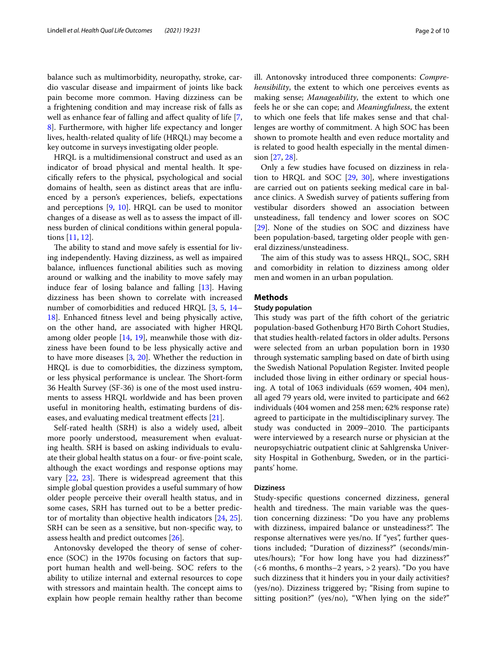balance such as multimorbidity, neuropathy, stroke, cardio vascular disease and impairment of joints like back pain become more common. Having dizziness can be a frightening condition and may increase risk of falls as well as enhance fear of falling and affect quality of life [\[7](#page-8-5), [8\]](#page-8-6). Furthermore, with higher life expectancy and longer lives, health-related quality of life (HRQL) may become a key outcome in surveys investigating older people.

HRQL is a multidimensional construct and used as an indicator of broad physical and mental health. It specifcally refers to the physical, psychological and social domains of health, seen as distinct areas that are infuenced by a person's experiences, beliefs, expectations and perceptions [\[9](#page-8-7), [10](#page-8-8)]. HRQL can be used to monitor changes of a disease as well as to assess the impact of illness burden of clinical conditions within general populations [\[11](#page-8-9), [12\]](#page-8-10).

The ability to stand and move safely is essential for living independently. Having dizziness, as well as impaired balance, infuences functional abilities such as moving around or walking and the inability to move safely may induce fear of losing balance and falling [\[13\]](#page-8-11). Having dizziness has been shown to correlate with increased number of comorbidities and reduced HRQL [\[3](#page-8-2), [5](#page-8-3), [14–](#page-8-12) [18\]](#page-8-13). Enhanced ftness level and being physically active, on the other hand, are associated with higher HRQL among older people [\[14](#page-8-12), [19](#page-8-14)], meanwhile those with dizziness have been found to be less physically active and to have more diseases [\[3](#page-8-2), [20\]](#page-8-15). Whether the reduction in HRQL is due to comorbidities, the dizziness symptom, or less physical performance is unclear. The Short-form 36 Health Survey (SF-36) is one of the most used instruments to assess HRQL worldwide and has been proven useful in monitoring health, estimating burdens of dis-eases, and evaluating medical treatment effects [[21\]](#page-8-16).

Self-rated health (SRH) is also a widely used, albeit more poorly understood, measurement when evaluating health. SRH is based on asking individuals to evaluate their global health status on a four- or fve-point scale, although the exact wordings and response options may vary  $[22, 23]$  $[22, 23]$  $[22, 23]$  $[22, 23]$  $[22, 23]$ . There is widespread agreement that this simple global question provides a useful summary of how older people perceive their overall health status, and in some cases, SRH has turned out to be a better predictor of mortality than objective health indicators [\[24](#page-8-19), [25](#page-8-20)]. SRH can be seen as a sensitive, but non-specifc way, to assess health and predict outcomes [\[26](#page-8-21)].

Antonovsky developed the theory of sense of coherence (SOC) in the 1970s focusing on factors that support human health and well-being. SOC refers to the ability to utilize internal and external resources to cope with stressors and maintain health. The concept aims to explain how people remain healthy rather than become ill. Antonovsky introduced three components: *Comprehensibility*, the extent to which one perceives events as making sense; *Manageability*, the extent to which one feels he or she can cope; and *Meaningfulness*, the extent to which one feels that life makes sense and that challenges are worthy of commitment. A high SOC has been shown to promote health and even reduce mortality and is related to good health especially in the mental dimension [\[27](#page-8-22), [28](#page-8-23)].

Only a few studies have focused on dizziness in relation to HRQL and SOC [[29,](#page-8-24) [30](#page-8-25)], where investigations are carried out on patients seeking medical care in balance clinics. A Swedish survey of patients sufering from vestibular disorders showed an association between unsteadiness, fall tendency and lower scores on SOC [[29\]](#page-8-24). None of the studies on SOC and dizziness have been population-based, targeting older people with general dizziness/unsteadiness.

The aim of this study was to assess HRQL, SOC, SRH and comorbidity in relation to dizziness among older men and women in an urban population.

#### **Methods**

#### **Study population**

This study was part of the fifth cohort of the geriatric population-based Gothenburg H70 Birth Cohort Studies, that studies health-related factors in older adults. Persons were selected from an urban population born in 1930 through systematic sampling based on date of birth using the Swedish National Population Register. Invited people included those living in either ordinary or special housing. A total of 1063 individuals (659 women, 404 men), all aged 79 years old, were invited to participate and 662 individuals (404 women and 258 men; 62% response rate) agreed to participate in the multidisciplinary survey. The study was conducted in 2009-2010. The participants were interviewed by a research nurse or physician at the neuropsychiatric outpatient clinic at Sahlgrenska University Hospital in Gothenburg, Sweden, or in the participants' home.

#### **Dizziness**

Study-specifc questions concerned dizziness, general health and tiredness. The main variable was the question concerning dizziness: "Do you have any problems with dizziness, impaired balance or unsteadiness?". The response alternatives were yes/no. If "yes", further questions included; "Duration of dizziness?" (seconds/minutes/hours); "For how long have you had dizziness?" (<6 months, 6 months–2 years, >2 years). "Do you have such dizziness that it hinders you in your daily activities? (yes/no). Dizziness triggered by; "Rising from supine to sitting position?" (yes/no), "When lying on the side?"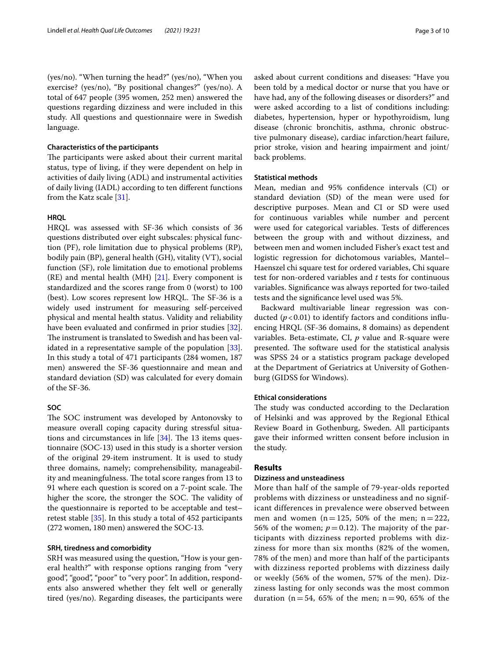#### **Characteristics of the participants**

The participants were asked about their current marital status, type of living, if they were dependent on help in activities of daily living (ADL) and instrumental activities of daily living (IADL) according to ten diferent functions from the Katz scale [[31\]](#page-8-26).

#### **HRQL**

HRQL was assessed with SF-36 which consists of 36 questions distributed over eight subscales: physical function (PF), role limitation due to physical problems (RP), bodily pain (BP), general health (GH), vitality (VT), social function (SF), role limitation due to emotional problems  $(RE)$  and mental health  $(MH)$  [\[21](#page-8-16)]. Every component is standardized and the scores range from 0 (worst) to 100 (best). Low scores represent low HRQL. The  $SF-36$  is a widely used instrument for measuring self-perceived physical and mental health status. Validity and reliability have been evaluated and confrmed in prior studies [\[32](#page-8-27)]. The instrument is translated to Swedish and has been validated in a representative sample of the population [\[33](#page-8-28)]. In this study a total of 471 participants (284 women, 187 men) answered the SF-36 questionnaire and mean and standard deviation (SD) was calculated for every domain of the SF-36.

# **SOC**

The SOC instrument was developed by Antonovsky to measure overall coping capacity during stressful situations and circumstances in life  $[34]$  $[34]$  $[34]$ . The 13 items questionnaire (SOC-13) used in this study is a shorter version of the original 29-item instrument. It is used to study three domains, namely; comprehensibility, manageability and meaningfulness. The total score ranges from 13 to 91 where each question is scored on a 7-point scale. The higher the score, the stronger the SOC. The validity of the questionnaire is reported to be acceptable and test– retest stable [\[35\]](#page-8-30). In this study a total of 452 participants (272 women, 180 men) answered the SOC-13.

#### **SRH, tiredness and comorbidity**

SRH was measured using the question, "How is your general health?" with response options ranging from "very good", "good", "poor" to "very poor". In addition, respondents also answered whether they felt well or generally tired (yes/no). Regarding diseases, the participants were asked about current conditions and diseases: "Have you been told by a medical doctor or nurse that you have or have had, any of the following diseases or disorders?" and were asked according to a list of conditions including: diabetes, hypertension, hyper or hypothyroidism, lung disease (chronic bronchitis, asthma, chronic obstructive pulmonary disease), cardiac infarction/heart failure, prior stroke, vision and hearing impairment and joint/ back problems.

#### **Statistical methods**

Mean, median and 95% confdence intervals (CI) or standard deviation (SD) of the mean were used for descriptive purposes. Mean and CI or SD were used for continuous variables while number and percent were used for categorical variables. Tests of diferences between the group with and without dizziness, and between men and women included Fisher's exact test and logistic regression for dichotomous variables, Mantel– Haenszel chi square test for ordered variables, Chi square test for non-ordered variables and *t* tests for continuous variables. Signifcance was always reported for two-tailed tests and the signifcance level used was 5%.

Backward multivariable linear regression was conducted  $(p<0.01)$  to identify factors and conditions influencing HRQL (SF-36 domains, 8 domains) as dependent variables. Beta-estimate, CI, *p* value and R-square were presented. The software used for the statistical analysis was SPSS 24 or a statistics program package developed at the Department of Geriatrics at University of Gothenburg (GIDSS for Windows).

#### **Ethical considerations**

The study was conducted according to the Declaration of Helsinki and was approved by the Regional Ethical Review Board in Gothenburg, Sweden. All participants gave their informed written consent before inclusion in the study.

#### **Results**

#### **Dizziness and unsteadiness**

More than half of the sample of 79-year-olds reported problems with dizziness or unsteadiness and no significant differences in prevalence were observed between men and women ( $n = 125$ , 50% of the men;  $n = 222$ , 56% of the women;  $p = 0.12$ ). The majority of the participants with dizziness reported problems with dizziness for more than six months (82% of the women, 78% of the men) and more than half of the participants with dizziness reported problems with dizziness daily or weekly (56% of the women, 57% of the men). Dizziness lasting for only seconds was the most common duration ( $n = 54$ , 65% of the men;  $n = 90$ , 65% of the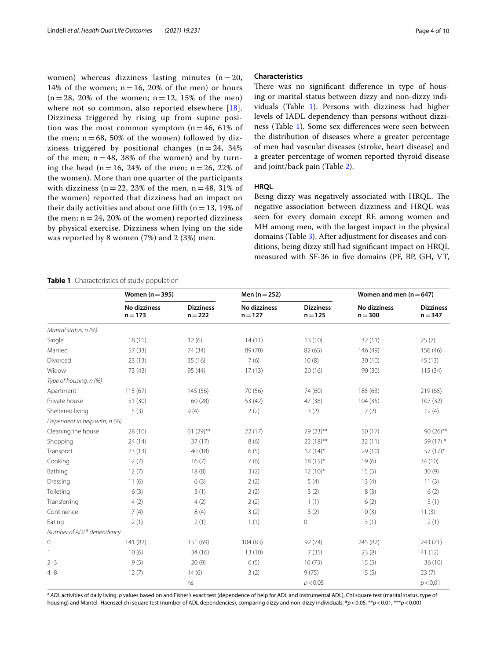women) whereas dizziness lasting minutes  $(n=20,$ 14% of the women;  $n = 16$ , 20% of the men) or hours  $(n=28, 20\%$  of the women;  $n=12, 15\%$  of the men) where not so common, also reported elsewhere [[18\]](#page-8-13). Dizziness triggered by rising up from supine position was the most common symptom  $(n = 46, 61\%)$  of the men;  $n = 68$ , 50% of the women) followed by dizziness triggered by positional changes  $(n = 24, 34\%)$ of the men;  $n = 48$ , 38% of the women) and by turning the head (n = 16, 24% of the men; n = 26, 22% of the women). More than one quarter of the participants with dizziness ( $n = 22$ , 23% of the men,  $n = 48$ , 31% of the women) reported that dizziness had an impact on their daily activities and about one fifth ( $n = 13$ , 19% of the men;  $n = 24$ , 20% of the women) reported dizziness by physical exercise. Dizziness when lying on the side was reported by 8 women (7%) and 2 (3%) men.

#### **Characteristics**

There was no significant difference in type of housing or marital status between dizzy and non-dizzy individuals (Table [1\)](#page-3-0). Persons with dizziness had higher levels of IADL dependency than persons without dizziness (Table [1\)](#page-3-0). Some sex diferences were seen between the distribution of diseases where a greater percentage of men had vascular diseases (stroke, heart disease) and a greater percentage of women reported thyroid disease and joint/back pain (Table [2\)](#page-4-0).

#### **HRQL**

Being dizzy was negatively associated with HRQL. The negative association between dizziness and HRQL was seen for every domain except RE among women and MH among men, with the largest impact in the physical domains (Table [3](#page-4-1)). After adjustment for diseases and conditions, being dizzy still had signifcant impact on HRQL measured with SF-36 in fve domains (PF, BP, GH, VT,

#### <span id="page-3-0"></span>**Table 1** Characteristics of study population

|                                       | Women $(n=395)$           |                               | Men $(n = 252)$           |                               | Women and men $(n=647)$   |                               |
|---------------------------------------|---------------------------|-------------------------------|---------------------------|-------------------------------|---------------------------|-------------------------------|
|                                       | No dizziness<br>$n = 173$ | <b>Dizziness</b><br>$n = 222$ | No dizziness<br>$n = 127$ | <b>Dizziness</b><br>$n = 125$ | No dizziness<br>$n = 300$ | <b>Dizziness</b><br>$n = 347$ |
| Marital status, n (%)                 |                           |                               |                           |                               |                           |                               |
| Single                                | 18(11)                    | 12(6)                         | 14(11)                    | 13(10)                        | 32(11)                    | 25(7)                         |
| Married                               | 57 (33)                   | 74 (34)                       | 89 (70)                   | 82 (65)                       | 146 (49)                  | 156 (46)                      |
| Divorced                              | 23(13)                    | 35 (16)                       | 7(6)                      | 10(8)                         | 30(10)                    | 45(13)                        |
| Widow                                 | 73 (43)                   | 95 (44)                       | 17(13)                    | 20(16)                        | 90 (30)                   | 115(34)                       |
| Type of housing, n (%)                |                           |                               |                           |                               |                           |                               |
| Apartment                             | 115(67)                   | 145 (56)                      | 70 (56)                   | 74 (60)                       | 185 (63)                  | 219(65)                       |
| Private house                         | 51 (30)                   | 60(28)                        | 53 (42)                   | 47 (38)                       | 104(35)                   | 107(32)                       |
| Sheltered living                      | 5(3)                      | 9(4)                          | 2(2)                      | 3(2)                          | 7(2)                      | 12(4)                         |
| Dependent in help with, n (%)         |                           |                               |                           |                               |                           |                               |
| Cleaning the house                    | 28 (16)                   | $61 (29)$ **                  | 22(17)                    | $29(23)$ **                   | 50(17)                    | 90 (26)**                     |
| Shopping                              | 24(14)                    | 37(17)                        | 8(6)                      | $22(18)$ **                   | 32(11)                    | 59 (17) *                     |
| Transport                             | 23(13)                    | 40 (18)                       | 6(5)                      | $17(14)^*$                    | 29 (10)                   | $57(17)^*$                    |
| Cooking                               | 12(7)                     | 16(7)                         | 7(6)                      | $18(15)*$                     | 19(6)                     | 34(10)                        |
| Bathing                               | 12(7)                     | 18(8)                         | 3(2)                      | $12(10)^*$                    | 15(5)                     | 30(9)                         |
| Dressing                              | 11(6)                     | 6(3)                          | 2(2)                      | 5(4)                          | 13(4)                     | 11(3)                         |
| Toileting                             | 6(3)                      | 3(1)                          | 2(2)                      | 3(2)                          | 8(3)                      | 6(2)                          |
| Transferring                          | 4(2)                      | 4(2)                          | 2(2)                      | 1(1)                          | 6(2)                      | 5(1)                          |
| Continence                            | 7(4)                      | 8(4)                          | 3(2)                      | 3(2)                          | 10(3)                     | 11(3)                         |
| Eating                                | 2(1)                      | 2(1)                          | 1(1)                      | 0                             | 3(1)                      | 2(1)                          |
| Number of ADL <sup>a</sup> dependency |                           |                               |                           |                               |                           |                               |
| 0                                     | 141 (82)                  | 151 (69)                      | 104(83)                   | 92(74)                        | 245 (82)                  | 243 (71)                      |
| 1                                     | 10(6)                     | 34(16)                        | 13(10)                    | 7(35)                         | 23(8)                     | 41(12)                        |
| $2 - 3$                               | 9(5)                      | 20(9)                         | 6(5)                      | 16(73)                        | 15(5)                     | 36(10)                        |
| $4 - 8$                               | 12(7)                     | 14(6)                         | 3(2)                      | 9(75)                         | 15(5)                     | 23(7)                         |
|                                       |                           | ns                            |                           | p < 0.05                      |                           | p < 0.01                      |

<sup>a</sup> ADL activities of daily living. *p* values based on and Fisher's exact test (dependence of help for ADL and instrumental ADL), Chi square test (marital status, type of housing) and Mantel–Haenszel chi square test (number of ADL dependencies), comparing dizzy and non-dizzy individuals, **\****p*<0.05, \*\**p*<0.01, \*\*\**p*<0.001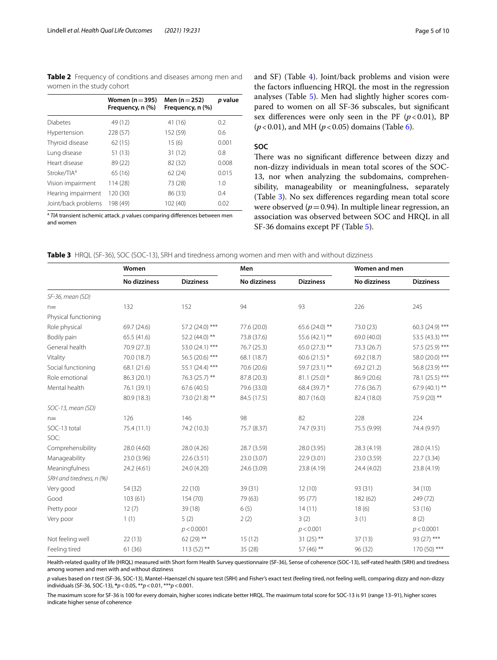<span id="page-4-0"></span>**Table 2** Frequency of conditions and diseases among men and women in the study cohort

|                         | Women ( $n = 395$ )<br>Frequency, n (%) | Men $(n = 252)$<br>Frequency, n (%) | p value |
|-------------------------|-----------------------------------------|-------------------------------------|---------|
|                         |                                         |                                     |         |
| <b>Diabetes</b>         | 49 (12)                                 | 41 (16)                             | 0.2     |
| Hypertension            | 228 (57)                                | 152 (59)                            | 0.6     |
| Thyroid disease         | 62(15)                                  | 15(6)                               | 0.001   |
| Lung disease            | 51(13)                                  | 31 (12)                             | 0.8     |
| Heart disease           | 89 (22)                                 | 82 (32)                             | 0.008   |
| Stroke/TIA <sup>a</sup> | 65 (16)                                 | 62(24)                              | 0.015   |
| Vision impairment       | 114 (28)                                | 73 (28)                             | 1.0     |
| Hearing impairment      | 120 (30)                                | 86 (33)                             | 0.4     |
| Joint/back problems     | 198 (49)                                | 102 (40)                            | 0.02    |

<sup>a</sup> *TIA* transient ischemic attack. *p* values comparing diferences between men and women

and SF) (Table [4](#page-5-0)). Joint/back problems and vision were the factors infuencing HRQL the most in the regression analyses (Table [5\)](#page-6-0). Men had slightly higher scores compared to women on all SF-36 subscales, but signifcant sex differences were only seen in the PF  $(p<0.01)$ , BP (*p*<0.01), and MH (*p*<0.05) domains (Table [6\)](#page-7-0).

#### **SOC**

There was no significant difference between dizzy and non-dizzy individuals in mean total scores of the SOC-13, nor when analyzing the subdomains, comprehensibility, manageability or meaningfulness, separately (Table [3](#page-4-1)). No sex diferences regarding mean total score were observed  $(p=0.94)$ . In multiple linear regression, an association was observed between SOC and HRQL in all SF-36 domains except PF (Table [5\)](#page-6-0).

<span id="page-4-1"></span>

|  | Table 3 HRQL (SF-36), SOC (SOC-13), SRH and tiredness among women and men with and without dizziness |
|--|------------------------------------------------------------------------------------------------------|
|--|------------------------------------------------------------------------------------------------------|

|                          | Women        |                  | Men          |                  | Women and men       |                  |
|--------------------------|--------------|------------------|--------------|------------------|---------------------|------------------|
|                          | No dizziness | <b>Dizziness</b> | No dizziness | <b>Dizziness</b> | <b>No dizziness</b> | <b>Dizziness</b> |
| SF-36, mean (SD)         |              |                  |              |                  |                     |                  |
| $n =$                    | 132          | 152              | 94           | 93               | 226                 | 245              |
| Physical functioning     |              |                  |              |                  |                     |                  |
| Role physical            | 69.7 (24.6)  | 57.2 (24.0) ***  | 77.6 (20.0)  | 65.6 (24.0) **   | 73.0 (23)           | 60.3 (24.9) ***  |
| Bodily pain              | 65.5 (41.6)  | 52.2 (44.0) **   | 73.8 (37.6)  | 55.6 (42.1) **   | 69.0 (40.0)         | 53.5 (43.3) ***  |
| General health           | 70.9 (27.3)  | 53.0 (24.1) ***  | 76.7 (25.3)  | $65.0(27.3)$ **  | 73.3 (26.7)         | 57.5 (25.9) ***  |
| Vitality                 | 70.0 (18.7)  | 56.5 (20.6) ***  | 68.1 (18.7)  | 60.6 $(21.5)$ *  | 69.2 (18.7)         | 58.0 (20.0) ***  |
| Social functioning       | 68.1 (21.6)  | 55.1 (24.4) ***  | 70.6 (20.6)  | 59.7 (23.1) **   | 69.2 (21.2)         | 56.8 (23.9) ***  |
| Role emotional           | 86.3 (20.1)  | 76.3 (25.7) **   | 87.8 (20.3)  | $81.1(25.0)$ *   | 86.9 (20.6)         | 78.1 (25.5) ***  |
| Mental health            | 76.1 (39.1)  | 67.6 (40.5)      | 79.6 (33.0)  | 68.4 (39.7) *    | 77.6 (36.7)         | 67.9 (40.1) **   |
|                          | 80.9 (18.3)  | 73.0 (21.8) **   | 84.5 (17.5)  | 80.7 (16.0)      | 82.4 (18.0)         | 75.9 (20) **     |
| SOC-13, mean (SD)        |              |                  |              |                  |                     |                  |
| $n =$                    | 126          | 146              | 98           | 82               | 228                 | 224              |
| SOC-13 total             | 75.4 (11.1)  | 74.2 (10.3)      | 75.7 (8.37)  | 74.7 (9.31)      | 75.5 (9.99)         | 74.4 (9.97)      |
| SOC:                     |              |                  |              |                  |                     |                  |
| Comprehensibility        | 28.0 (4.60)  | 28.0 (4.26)      | 28.7 (3.59)  | 28.0 (3.95)      | 28.3 (4.19)         | 28.0 (4.15)      |
| Manageability            | 23.0 (3.96)  | 22.6 (3.51)      | 23.0 (3.07)  | 22.9(3.01)       | 23.0 (3.59)         | 22.7 (3.34)      |
| Meaningfulness           | 24.2 (4.61)  | 24.0 (4.20)      | 24.6 (3.09)  | 23.8 (4.19)      | 24.4 (4.02)         | 23.8 (4.19)      |
| SRH and tiredness, n (%) |              |                  |              |                  |                     |                  |
| Very good                | 54 (32)      | 22(10)           | 39 (31)      | 12(10)           | 93 (31)             | 34(10)           |
| Good                     | 103(61)      | 154 (70)         | 79 (63)      | 95 (77)          | 182 (62)            | 249 (72)         |
| Pretty poor              | 12(7)        | 39 (18)          | 6(5)         | 14(11)           | 18(6)               | 53 (16)          |
| Very poor                | 1(1)         | 5(2)             | 2(2)         | 3(2)             | 3(1)                | 8(2)             |
|                          |              | p < 0.0001       |              | p < 0.001        |                     | p < 0.0001       |
| Not feeling well         | 22(13)       | $62(29)$ **      | 15(12)       | 31 (25) **       | 37(13)              | 93 (27) ***      |
| Feeling tired            | 61 (36)      | $113(52)$ **     | 35 (28)      | 57 (46) **       | 96 (32)             | $170(50)$ ***    |

Health-related quality of life (HRQL) measured with Short form Health Survey questionnaire (SF-36), Sense of coherence (SOC-13), self-rated health (SRH) and tiredness among women and men with and without dizziness

*p* values based on *t* test (SF-36, SOC-13), Mantel–Haenszel chi square test (SRH) and Fisher's exact test (feeling tired, not feeling well), comparing dizzy and non-dizzy individuals (SF-36, SOC-13), **\****p*<0.05, \*\**p*<0.01, \*\*\**p*<0.001.

The maximum score for SF-36 is 100 for every domain, higher scores indicate better HRQL. The maximum total score for SOC-13 is 91 (range 13–91), higher scores indicate higher sense of coherence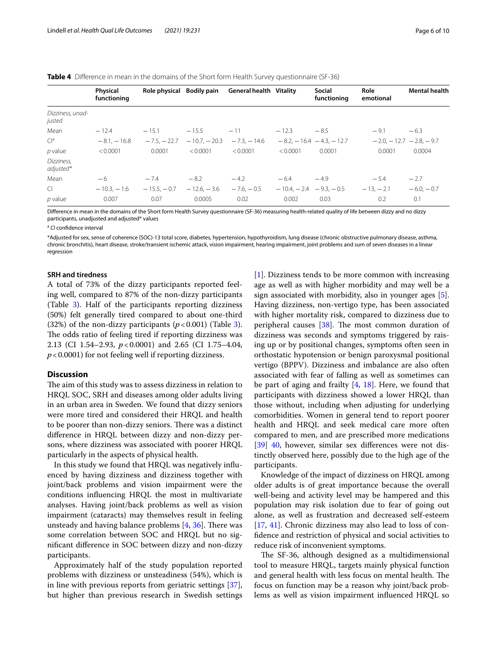<span id="page-5-0"></span>**Table 4** Diference in mean in the domains of the Short form Health Survey questionnaire (SF-36)

|                            | Physical<br>functioning | Role physical Bodily pain |                | <b>General health Vitality</b> |                           | <b>Social</b><br>functioning | Role<br>emotional | <b>Mental health</b>            |
|----------------------------|-------------------------|---------------------------|----------------|--------------------------------|---------------------------|------------------------------|-------------------|---------------------------------|
| Dizziness, unad-<br>justed |                         |                           |                |                                |                           |                              |                   |                                 |
| Mean                       | $-12.4$                 | $-15.1$                   | $-15.5$        | $-11$                          | $-12.3$                   | $-8.5$                       | $-9.1$            | $-6.3$                          |
| $Cl^a$                     | $-8.1, -16.8$           | $-7.5 - 22.7$             | $-10.7 - 20.3$ | $-7.3 - 14.6$                  |                           | $-8.2 - 16.4 - 4.3 - 12.7$   |                   | $-2.0$ , $-12.7 - 2.8$ , $-9.7$ |
| $p$ value                  | < 0.0001                | 0.0001                    | < 0.0001       | < 0.0001                       | < 0.0001                  | 0.0001                       | 0.0001            | 0.0004                          |
| Dizziness,<br>adjusted*    |                         |                           |                |                                |                           |                              |                   |                                 |
| Mean                       | $-6$                    | $-7.4$                    | $-8.2$         | $-4.2$                         | $-6.4$                    | $-4.9$                       | $-5.4$            | $-2.7$                          |
| $\Box$                     | $-10.3 - 1.6$           | $-15.5 - 0.7$             | $-12.6. - 3.6$ | $-7.6 - 0.5$                   | $-10.4 - 2.4 - 9.3 - 0.5$ |                              | $-13, -2.1$       | $-6.0 - 0.7$                    |
| $p$ value                  | 0.007                   | 0.07                      | 0.0005         | 0.02                           | 0.002                     | 0.03                         | 0.2               | 0.1                             |

Difference in mean in the domains of the Short form Health Survey questionnaire (SF-36) measuring health-related quality of life between dizzy and no dizzy participants, unadjusted and adjusted\* values

<sup>a</sup> CI confidence interval

\*Adjusted for sex, sense of coherence (SOC)-13 total score, diabetes, hypertension, hypothyroidism, lung disease (chronic obstructive pulmonary disease, asthma, chronic bronchitis), heart disease, stroke/transient ischemic attack, vision impairment, hearing impairment, joint problems and sum of seven diseases in a linear regression

#### **SRH and tiredness**

A total of 73% of the dizzy participants reported feeling well, compared to 87% of the non-dizzy participants (Table [3](#page-4-1)). Half of the participants reporting dizziness (50%) felt generally tired compared to about one-third ([3](#page-4-1)2%) of the non-dizzy participants  $(p < 0.001)$  (Table 3). The odds ratio of feeling tired if reporting dizziness was 2.13 (CI 1.54–2.93, *p*<0.0001) and 2.65 (CI 1.75–4.04, *p*<0.0001) for not feeling well if reporting dizziness.

#### **Discussion**

The aim of this study was to assess dizziness in relation to HRQL SOC, SRH and diseases among older adults living in an urban area in Sweden. We found that dizzy seniors were more tired and considered their HRQL and health to be poorer than non-dizzy seniors. There was a distinct diference in HRQL between dizzy and non-dizzy persons, where dizziness was associated with poorer HRQL particularly in the aspects of physical health.

In this study we found that HRQL was negatively infuenced by having dizziness and dizziness together with joint/back problems and vision impairment were the conditions infuencing HRQL the most in multivariate analyses. Having joint/back problems as well as vision impairment (cataracts) may themselves result in feeling unsteady and having balance problems  $[4, 36]$  $[4, 36]$  $[4, 36]$ . There was some correlation between SOC and HRQL but no signifcant diference in SOC between dizzy and non-dizzy participants.

Approximately half of the study population reported problems with dizziness or unsteadiness (54%), which is in line with previous reports from geriatric settings [\[37](#page-9-0)], but higher than previous research in Swedish settings [[1\]](#page-8-0). Dizziness tends to be more common with increasing age as well as with higher morbidity and may well be a sign associated with morbidity, also in younger ages [\[5](#page-8-3)]. Having dizziness, non-vertigo type, has been associated with higher mortality risk, compared to dizziness due to peripheral causes  $[38]$  $[38]$ . The most common duration of dizziness was seconds and symptoms triggered by raising up or by positional changes, symptoms often seen in orthostatic hypotension or benign paroxysmal positional vertigo (BPPV). Dizziness and imbalance are also often associated with fear of falling as well as sometimes can be part of aging and frailty  $[4, 18]$  $[4, 18]$  $[4, 18]$  $[4, 18]$  $[4, 18]$ . Here, we found that participants with dizziness showed a lower HRQL than those without, including when adjusting for underlying comorbidities. Women in general tend to report poorer health and HRQL and seek medical care more often compared to men, and are prescribed more medications [[39\]](#page-9-2) [40](#page-9-3), however, similar sex diferences were not distinctly observed here, possibly due to the high age of the participants.

Knowledge of the impact of dizziness on HRQL among older adults is of great importance because the overall well-being and activity level may be hampered and this population may risk isolation due to fear of going out alone, as well as frustration and decreased self-esteem [[17,](#page-8-33) [41](#page-9-4)]. Chronic dizziness may also lead to loss of confdence and restriction of physical and social activities to reduce risk of inconvenient symptoms.

The SF-36, although designed as a multidimensional tool to measure HRQL, targets mainly physical function and general health with less focus on mental health. The focus on function may be a reason why joint/back problems as well as vision impairment infuenced HRQL so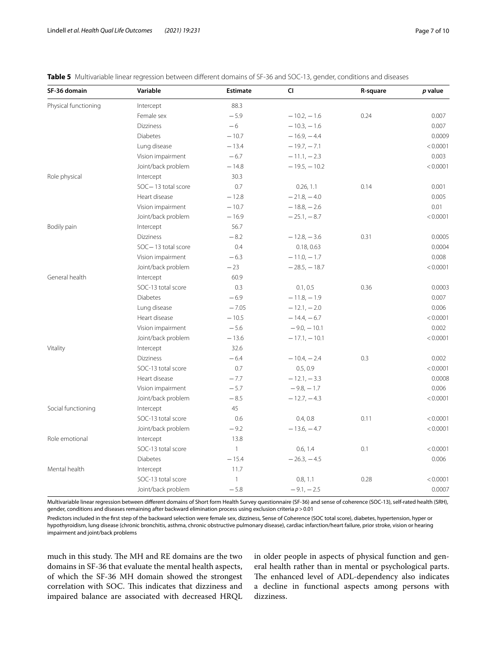<span id="page-6-0"></span>

| <b>Table 5</b> Multivariable linear regression between different domains of SF-36 and SOC-13, gender, conditions and diseases |  |  |  |
|-------------------------------------------------------------------------------------------------------------------------------|--|--|--|
|-------------------------------------------------------------------------------------------------------------------------------|--|--|--|

| SF-36 domain         | Variable           | <b>Estimate</b> | CI             | R-square | p value  |
|----------------------|--------------------|-----------------|----------------|----------|----------|
| Physical functioning | Intercept          | 88.3            |                |          |          |
|                      | Female sex         | $-5.9$          | $-10.2, -1.6$  | 0.24     | 0.007    |
|                      | <b>Dizziness</b>   | $-6$            | $-10.3, -1.6$  |          | 0.007    |
|                      | <b>Diabetes</b>    | $-10.7$         | $-16.9, -4.4$  |          | 0.0009   |
|                      | Lung disease       | $-13.4$         | $-19.7 - 7.1$  |          | < 0.0001 |
|                      | Vision impairment  | $-6.7$          | $-11.1, -2.3$  |          | 0.003    |
|                      | Joint/back problem | $-14.8$         | $-19.5, -10.2$ |          | < 0.0001 |
| Role physical        | Intercept          | 30.3            |                |          |          |
|                      | SOC-13 total score | 0.7             | 0.26, 1.1      | 0.14     | 0.001    |
|                      | Heart disease      | $-12.8$         | $-21.8, -4.0$  |          | 0.005    |
|                      | Vision impairment  | $-10.7$         | $-18.8, -2.6$  |          | 0.01     |
|                      | Joint/back problem | $-16.9$         | $-25.1, -8.7$  |          | < 0.0001 |
| Bodily pain          | Intercept          | 56.7            |                |          |          |
|                      | <b>Dizziness</b>   | $-8.2$          | $-12.8, -3.6$  | 0.31     | 0.0005   |
|                      | SOC-13 total score | 0.4             | 0.18, 0.63     |          | 0.0004   |
|                      | Vision impairment  | $-6.3$          | $-11.0, -1.7$  |          | 0.008    |
|                      | Joint/back problem | $-23$           | $-28.5 - 18.7$ |          | < 0.0001 |
| General health       | Intercept          | 60.9            |                |          |          |
|                      | SOC-13 total score | 0.3             | 0.1, 0.5       | 0.36     | 0.0003   |
|                      | <b>Diabetes</b>    | $-6.9$          | $-11.8, -1.9$  |          | 0.007    |
|                      | Lung disease       | $-7.05$         | $-12.1, -2.0$  |          | 0.006    |
|                      | Heart disease      | $-10.5$         | $-14.4, -6.7$  |          | < 0.0001 |
|                      | Vision impairment  | $-5.6$          | $-9.0, -10.1$  |          | 0.002    |
|                      | Joint/back problem | $-13.6$         | $-17.1, -10.1$ |          | < 0.0001 |
| Vitality             | Intercept          | 32.6            |                |          |          |
|                      | <b>Dizziness</b>   | $-6.4$          | $-10.4, -2.4$  | 0.3      | 0.002    |
|                      | SOC-13 total score | 0.7             | 0.5, 0.9       |          | < 0.0001 |
|                      | Heart disease      | $-7.7$          | $-12.1, -3.3$  |          | 0.0008   |
|                      | Vision impairment  | $-5.7$          | $-9.8, -1.7$   |          | 0.006    |
|                      | Joint/back problem | $-8.5$          | $-12.7, -4.3$  |          | < 0.0001 |
| Social functioning   | Intercept          | 45              |                |          |          |
|                      | SOC-13 total score | 0.6             | 0.4, 0.8       | 0.11     | < 0.0001 |
|                      | Joint/back problem | $-9.2$          | $-13.6, -4.7$  |          | < 0.0001 |
| Role emotional       | Intercept          | 13.8            |                |          |          |
|                      | SOC-13 total score | $\mathbf{1}$    | 0.6, 1.4       | 0.1      | < 0.0001 |
|                      | <b>Diabetes</b>    | $-15.4$         | $-26.3, -4.5$  |          | 0.006    |
| Mental health        | Intercept          | 11.7            |                |          |          |
|                      | SOC-13 total score | $\mathbf{1}$    | 0.8, 1.1       | 0.28     | < 0.0001 |
|                      | Joint/back problem | $-5.8$          | $-9.1, -2.5$   |          | 0.0007   |

Multivariable linear regression between diferent domains of Short form Health Survey questionnaire (SF-36) and sense of coherence (SOC-13), self-rated health (SRH), gender, conditions and diseases remaining after backward elimination process using exclusion criteria *p*>0.01

Predictors included in the frst step of the backward selection were female sex, dizziness, Sense of Coherence (SOC total score), diabetes, hypertension, hyper or hypothyroidism, lung disease (chronic bronchitis, asthma, chronic obstructive pulmonary disease), cardiac infarction/heart failure, prior stroke, vision or hearing impairment and joint/back problems

much in this study. The MH and RE domains are the two domains in SF-36 that evaluate the mental health aspects, of which the SF-36 MH domain showed the strongest correlation with SOC. This indicates that dizziness and impaired balance are associated with decreased HRQL in older people in aspects of physical function and general health rather than in mental or psychological parts. The enhanced level of ADL-dependency also indicates a decline in functional aspects among persons with dizziness.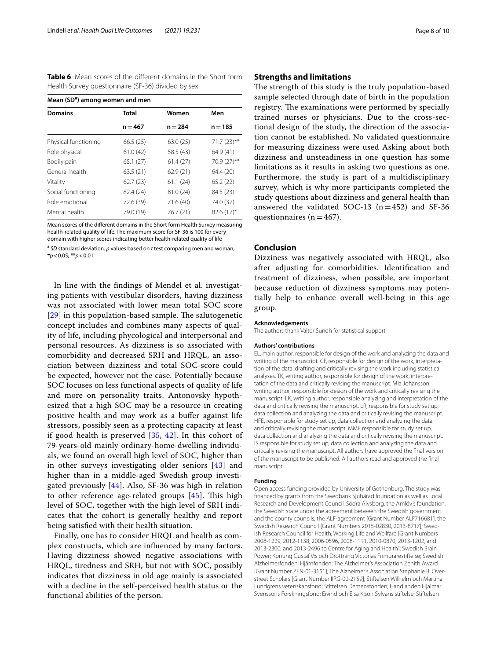<span id="page-7-0"></span>**Table 6** Mean scores of the diferent domains in the Short form Health Survey questionnaire (SF-36) divided by sex

| Mean (SD <sup>a</sup> ) among women and men |              |           |               |  |  |
|---------------------------------------------|--------------|-----------|---------------|--|--|
| <b>Domains</b>                              | <b>Total</b> | Women     | Men           |  |  |
|                                             | $n = 467$    | $n = 284$ | $n = 185$     |  |  |
| Physical functioning                        | 66.5(25)     | 63.0(25)  | $71.7(23)$ ** |  |  |
| Role physical                               | 61.0(42)     | 58.5 (43) | 64.9(41)      |  |  |
| Bodily pain                                 | 65.1(27)     | 61.4(27)  | 70.9 (27)**   |  |  |
| General health                              | 63.5(21)     | 62.9(21)  | 64.4 (20)     |  |  |
| Vitality                                    | 62.7(23)     | 61.1(24)  | 65.2(22)      |  |  |
| Social functioning                          | 82.4 (24)    | 81.0 (24) | 84.5 (23)     |  |  |
| Role emotional                              | 72.6 (39)    | 71.6(40)  | 74.0 (37)     |  |  |
| Mental health                               | 79.0 (19)    | 76.7 (21) | $82.6(17)^*$  |  |  |

Mean scores of the diferent domains in the Short form Health Survey measuring health-related quality of life. The maximum score for SF-36 is 100 for every domain with higher scores indicating better health-related quality of life

<sup>a</sup> *SD* standard deviation. *p* values based on *t* test comparing men and woman, **\****p*<0.05; \*\**p*<0.01

In line with the fndings of Mendel et al*.* investigating patients with vestibular disorders, having dizziness was not associated with lower mean total SOC score  $[29]$  $[29]$  $[29]$  in this population-based sample. The salutogenetic concept includes and combines many aspects of quality of life, including phycological and interpersonal and personal resources. As dizziness is so associated with comorbidity and decreased SRH and HRQL, an association between dizziness and total SOC-score could be expected, however not the case. Potentially because SOC focuses on less functional aspects of quality of life and more on personality traits. Antonovsky hypothesized that a high SOC may be a resource in creating positive health and may work as a bufer against life stressors, possibly seen as a protecting capacity at least if good health is preserved [\[35,](#page-8-30) [42](#page-9-5)]. In this cohort of 79-years-old mainly ordinary-home-dwelling individuals, we found an overall high level of SOC, higher than in other surveys investigating older seniors [[43](#page-9-6)] and higher than in a middle-aged Swedish group investigated previously  $[44]$  $[44]$ . Also, SF-36 was high in relation to other reference age-related groups  $[45]$  $[45]$ . This high level of SOC, together with the high level of SRH indicates that the cohort is generally healthy and report being satisfed with their health situation.

Finally, one has to consider HRQL and health as complex constructs, which are infuenced by many factors. Having dizziness showed negative associations with HRQL, tiredness and SRH, but not with SOC, possibly indicates that dizziness in old age mainly is associated with a decline in the self-perceived health status or the functional abilities of the person.

#### **Strengths and limitations**

The strength of this study is the truly population-based sample selected through date of birth in the population registry. The examinations were performed by specially trained nurses or physicians. Due to the cross-sectional design of the study, the direction of the association cannot be established. No validated questionnaire for measuring dizziness were used Asking about both dizziness and unsteadiness in one question has some limitations as it results in asking two questions as one. Furthermore, the study is part of a multidisciplinary survey, which is why more participants completed the study questions about dizziness and general health than answered the validated SOC-13  $(n=452)$  and SF-36 questionnaires ( $n=467$ ).

#### **Conclusion**

Dizziness was negatively associated with HRQL, also after adjusting for comorbidities. Identifcation and treatment of dizziness, when possible, are important because reduction of dizziness symptoms may potentially help to enhance overall well-being in this age group.

#### **Acknowledgements**

The authors thank Valter Sundh for statistical support

#### **Authors' contributions**

EL, main author, responsible for design of the work and analyzing the data and writing of the manuscript. CF, responsible for design of the work, interpretation of the data, drafting and critically revising the work including statistical analyses. TK, writing author, responsible for design of the work, interpretation of the data and critically revising the manuscript. Mia Johansson, writing author, responsible for design of the work and critically revising the manuscript. LK, writing author, responsible analyzing and interpretation of the data and critically revising the manuscript. LR, responsible for study set up, data collection and analyzing the data and critically revising the manuscript. HFE, responsible for study set up, data collection and analyzing the data and critically revising the manuscript. MMF responsible for study set up, data collection and analyzing the data and critically revising the manuscript. IS responsible for study set up, data collection and analyzing the data and critically revising the manuscript. All authors have approved the fnal version of the manuscript to be published. All authors read and approved the fnal manuscript.

#### **Funding**

Open access funding provided by University of Gothenburg. The study was fnanced by grants from the Swedbank Sjuhärad foundation as well as Local Research and Development Council, Södra Älvsborg, the Amlöv's foundation, the Swedish state under the agreement between the Swedish government and the county councils, the ALF-agreement [Grant Number ALF716681]; the Swedish Research Council [Grant Numbers 2015-02830, 2013-8717]; Swedish Research Council for Health, Working Life and Wellfare [Grant Numbers 2008-1229, 2012-1138, 2006-0596, 2008-1111, 2010-0870, 2013-1202, and 2013-2300, and 2013-2496 to Centre for Aging and Health]; Swedish Brain Power; Konung Gustaf V:s och Drottning Victorias Frimurarestiftelse; Swedish Alzheimerfonden; Hjärnfonden; The Alzheimer's Association Zenith Award [Grant Number ZEN-01-3151]; The Alzheimer's Association Stephanie B. Overstreet Scholars [Grant Number IIRG-00-2159]; Stiftelsen Wilhelm och Martina Lundgrens vetenskapsfond; Stiftelsen Demensfonden; Handlanden Hjalmar Svenssons Forskningsfond; Eivind och Elsa K:son Sylvans stiftelse; Stiftelsen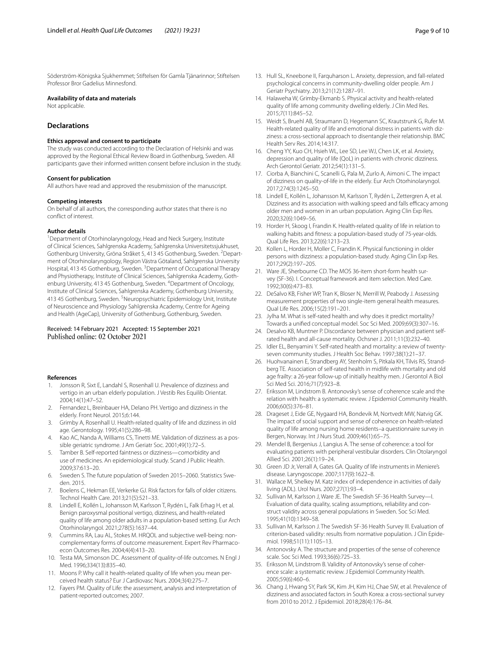Söderström-Königska Sjukhemmet; Stiftelsen för Gamla Tjänarinnor; Stiftelsen Professor Bror Gadelius Minnesfond.

#### **Availability of data and materials**

Not applicable.

#### **Declarations**

#### **Ethics approval and consent to participate**

The study was conducted according to the Declaration of Helsinki and was approved by the Regional Ethical Review Board in Gothenburg, Sweden. All participants gave their informed written consent before inclusion in the study.

#### **Consent for publication**

All authors have read and approved the resubmission of the manuscript.

#### **Competing interests**

On behalf of all authors, the corresponding author states that there is no confict of interest.

#### **Author details**

<sup>1</sup> Department of Otorhinolaryngology, Head and Neck Surgery, Institute of Clinical Sciences, Sahlgrenska Academy, Sahlgrenska Universitetssjukhuset, Gothenburg University, Gröna Stråket 5, 413 45 Gothenburg, Sweden. <sup>2</sup>Department of Otorhinolaryngology, Region Västra Götaland, Sahlgrenska University Hospital, 413 45 Gothenburg, Sweden. <sup>3</sup> Department of Occupational Therapy and Physiotherapy, Institute of Clinical Sciences, Sahlgrenska Academy, Gothenburg University, 413 45 Gothenburg, Sweden. <sup>4</sup> Department of Oncology, Institute of Clinical Sciences, Sahlgrenska Academy, Gothenburg University, 413 45 Gothenburg, Sweden. <sup>5</sup> Neuropsychiatric Epidemiology Unit, Institute of Neuroscience and Physiology Sahlgrenska Academy, Centre for Ageing and Health (AgeCap), University of Gothenburg, Gothenburg, Sweden.

# Received: 14 February 2021 Accepted: 15 September 2021

#### **References**

- <span id="page-8-0"></span>Jonsson R, Sixt E, Landahl S, Rosenhall U. Prevalence of dizziness and vertigo in an urban elderly population. J Vestib Res Equilib Orientat. 2004;14(1):47–52.
- <span id="page-8-1"></span>2. Fernandez L, Breinbauer HA, Delano PH. Vertigo and dizziness in the elderly. Front Neurol. 2015;6:144.
- <span id="page-8-2"></span>3. Grimby A, Rosenhall U. Health-related quality of life and dizziness in old age. Gerontology. 1995;41(5):286–98.
- <span id="page-8-31"></span>4. Kao AC, Nanda A, Williams CS, Tinetti ME. Validation of dizziness as a possible geriatric syndrome. J Am Geriatr Soc. 2001;49(1):72–5.
- <span id="page-8-3"></span>5. Tamber B. Self-reported faintness or dizziness—comorbidity and use of medicines. An epidemiological study. Scand J Public Health. 2009;37:613–20.
- <span id="page-8-4"></span>6. Sweden S. The future population of Sweden 2015–2060. Statistics Sweden. 2015.
- <span id="page-8-5"></span>7. Boelens C, Hekman EE, Verkerke GJ. Risk factors for falls of older citizens. Technol Health Care. 2013;21(5):521–33.
- <span id="page-8-6"></span>8. Lindell E, Kollén L, Johansson M, Karlsson T, Rydén L, Falk Erhag H, et al. Benign paroxysmal positional vertigo, dizziness, and health-related quality of life among older adults in a population-based setting. Eur Arch Otorhinolaryngol. 2021;278(5):1637–44.
- <span id="page-8-7"></span>9. Cummins RA, Lau AL, Stokes M. HRQOL and subjective well-being: noncomplementary forms of outcome measurement. Expert Rev Pharmacoecon Outcomes Res. 2004;4(4):413–20.
- <span id="page-8-8"></span>10. Testa MA, Simonson DC. Assessment of quality-of-life outcomes. N Engl J Med. 1996;334(13):835–40.
- <span id="page-8-9"></span>11. Moons P. Why call it health-related quality of life when you mean perceived health status? Eur J Cardiovasc Nurs. 2004;3(4):275–7.
- <span id="page-8-10"></span>12. Fayers PM. Quality of Life: the assessment, analysis and interpretation of patient-reported outcomes; 2007.
- <span id="page-8-11"></span>13. Hull SL, Kneebone II, Farquharson L. Anxiety, depression, and fall-related psychological concerns in community-dwelling older people. Am J Geriatr Psychiatry. 2013;21(12):1287–91.
- <span id="page-8-12"></span>14. Halaweha W, Grimby-Ekmanb S. Physical activity and health-related quality of life among community dwelling elderly. J Clin Med Res. 2015;7(11):845–52.
- 15. Weidt S, Bruehl AB, Straumann D, Hegemann SC, Krautstrunk G, Rufer M. Health-related quality of life and emotional distress in patients with dizziness: a cross-sectional approach to disentangle their relationship. BMC Health Serv Res. 2014;14:317.
- 16. Cheng YY, Kuo CH, Hsieh WL, Lee SD, Lee WJ, Chen LK, et al. Anxiety, depression and quality of life (QoL) in patients with chronic dizziness. Arch Gerontol Geriatr. 2012;54(1):131–5.
- <span id="page-8-33"></span>17. Ciorba A, Bianchini C, Scanelli G, Pala M, Zurlo A, Aimoni C. The impact of dizziness on quality-of-life in the elderly. Eur Arch Otorhinolaryngol. 2017;274(3):1245–50.
- <span id="page-8-13"></span>18. Lindell E, Kollén L, Johansson M, Karlsson T, Rydén L, Zettergren A, et al. Dizziness and its association with walking speed and falls efficacy among older men and women in an urban population. Aging Clin Exp Res. 2020;32(6):1049–56.
- <span id="page-8-14"></span>19. Horder H, Skoog I, Frandin K. Health-related quality of life in relation to walking habits and ftness: a population-based study of 75-year-olds. Qual Life Res. 2013;22(6):1213–23.
- <span id="page-8-15"></span>20. Kollen L, Horder H, Moller C, Frandin K. Physical functioning in older persons with dizziness: a population-based study. Aging Clin Exp Res. 2017;29(2):197–205.
- <span id="page-8-16"></span>21. Ware JE, Sherbourne CD. The MOS 36-item short-form health survey (SF-36). I. Conceptual framework and item selection. Med Care. 1992;30(6):473–83.
- <span id="page-8-17"></span>22. DeSalvo KB, Fisher WP, Tran K, Bloser N, Merrill W, Peabody J. Assessing measurement properties of two single-item general health measures. Qual Life Res. 2006;15(2):191–201.
- <span id="page-8-18"></span>23. Jylha M. What is self-rated health and why does it predict mortality? Towards a unifed conceptual model. Soc Sci Med. 2009;69(3):307–16.
- <span id="page-8-19"></span>24. Desalvo KB, Muntner P. Discordance between physician and patient selfrated health and all-cause mortality. Ochsner J. 2011;11(3):232–40.
- <span id="page-8-20"></span>25. Idler EL, Benyamini Y. Self-rated health and mortality: a review of twentyseven community studies. J Health Soc Behav. 1997;38(1):21–37.
- <span id="page-8-21"></span>26. Huohvanainen E, Strandberg AY, Stenholm S, Pitkala KH, Tilvis RS, Strandberg TE. Association of self-rated health in midlife with mortality and old age frailty: a 26-year follow-up of initially healthy men. J Gerontol A Biol Sci Med Sci. 2016;71(7):923–8.
- <span id="page-8-22"></span>27. Eriksson M, Lindstrom B. Antonovsky's sense of coherence scale and the relation with health: a systematic review. J Epidemiol Community Health. 2006;60(5):376–81.
- <span id="page-8-23"></span>28. Drageset J, Eide GE, Nygaard HA, Bondevik M, Nortvedt MW, Natvig GK. The impact of social support and sense of coherence on health-related quality of life among nursing home residents–a questionnaire survey in Bergen, Norway. Int J Nurs Stud. 2009;46(1):65–75.
- <span id="page-8-24"></span>29. Mendel B, Bergenius J, Langius A. The sense of coherence: a tool for evaluating patients with peripheral vestibular disorders. Clin Otolaryngol Allied Sci. 2001;26(1):19–24.
- <span id="page-8-25"></span>30. Green JD Jr, Verrall A, Gates GA. Quality of life instruments in Meniere's disease. Laryngoscope. 2007;117(9):1622–8.
- <span id="page-8-26"></span>31. Wallace M, Shelkey M. Katz index of independence in activities of daily living (ADL). Urol Nurs. 2007;27(1):93–4.
- <span id="page-8-27"></span>32. Sullivan M, Karlsson J, Ware JE. The Swedish SF-36 Health Survey—I. Evaluation of data quality, scaling assumptions, reliability and construct validity across general populations in Sweden. Soc Sci Med. 1995;41(10):1349–58.
- <span id="page-8-28"></span>33. Sullivan M, Karlsson J. The Swedish SF-36 Health Survey III. Evaluation of criterion-based validity: results from normative population. J Clin Epidemiol. 1998;51(11):1105–13.
- <span id="page-8-29"></span>34. Antonovsky A. The structure and properties of the sense of coherence scale. Soc Sci Med. 1993;36(6):725–33.
- <span id="page-8-30"></span>35. Eriksson M, Lindstrom B. Validity of Antonovsky's sense of coherence scale: a systematic review. J Epidemiol Community Health. 2005;59(6):460–6.
- <span id="page-8-32"></span>36. Chang J, Hwang SY, Park SK, Kim JH, Kim HJ, Chae SW, et al. Prevalence of dizziness and associated factors in South Korea: a cross-sectional survey from 2010 to 2012. J Epidemiol. 2018;28(4):176–84.